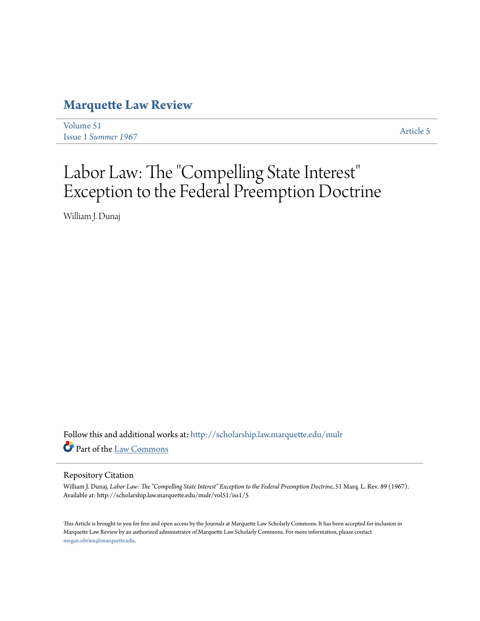## **[Marquette Law Review](http://scholarship.law.marquette.edu/mulr?utm_source=scholarship.law.marquette.edu%2Fmulr%2Fvol51%2Fiss1%2F5&utm_medium=PDF&utm_campaign=PDFCoverPages)**

[Volume 51](http://scholarship.law.marquette.edu/mulr/vol51?utm_source=scholarship.law.marquette.edu%2Fmulr%2Fvol51%2Fiss1%2F5&utm_medium=PDF&utm_campaign=PDFCoverPages) Issue 1 *[Summer 1967](http://scholarship.law.marquette.edu/mulr/vol51/iss1?utm_source=scholarship.law.marquette.edu%2Fmulr%2Fvol51%2Fiss1%2F5&utm_medium=PDF&utm_campaign=PDFCoverPages)* [Article 5](http://scholarship.law.marquette.edu/mulr/vol51/iss1/5?utm_source=scholarship.law.marquette.edu%2Fmulr%2Fvol51%2Fiss1%2F5&utm_medium=PDF&utm_campaign=PDFCoverPages)

## Labor Law: The "Compelling State Interest" Exception to the Federal Preemption Doctrine

William J. Dunaj

Follow this and additional works at: [http://scholarship.law.marquette.edu/mulr](http://scholarship.law.marquette.edu/mulr?utm_source=scholarship.law.marquette.edu%2Fmulr%2Fvol51%2Fiss1%2F5&utm_medium=PDF&utm_campaign=PDFCoverPages) Part of the [Law Commons](http://network.bepress.com/hgg/discipline/578?utm_source=scholarship.law.marquette.edu%2Fmulr%2Fvol51%2Fiss1%2F5&utm_medium=PDF&utm_campaign=PDFCoverPages)

## Repository Citation

William J. Dunaj, Labor Law: The "Compelling State Interest" Exception to the Federal Preemption Doctrine, 51 Marq. L. Rev. 89 (1967). Available at: http://scholarship.law.marquette.edu/mulr/vol51/iss1/5

This Article is brought to you for free and open access by the Journals at Marquette Law Scholarly Commons. It has been accepted for inclusion in Marquette Law Review by an authorized administrator of Marquette Law Scholarly Commons. For more information, please contact [megan.obrien@marquette.edu.](mailto:megan.obrien@marquette.edu)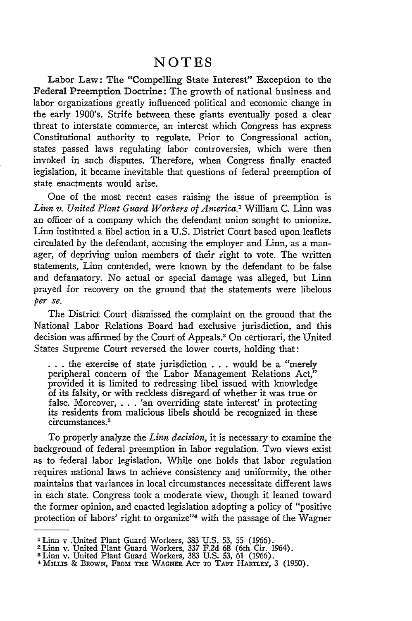## **NOTES**

Labor Law: The "Compelling State Interest" Exception to the Federal Preemption Doctrine: The growth of national business and labor organizations greatly influenced political and economic change in the early 1900's. Strife between these giants eventually posed a clear threat to interstate commerce, an interest which Congress has express Constitutional authority to regulate. Prior to Congressional action, states passed laws regulating labor controversies, which were then invoked in such disputes. Therefore, when Congress finally enacted legislation, it became inevitable that questions of federal preemption of state enactments would arise.

One of the most recent cases raising the issue of preemption is *Linn v. United Plant Guard Workers of America.'* William C. Linn was an officer of a company which the defendant union sought to unionize. Linn instituted a libel action in a U.S. District Court based upon leaflets circulated by the defendant, accusing the employer and Linn, as a manager, of depriving union members of their right to vote. The written statements, Linn contended, were known by the defendant to be false and defamatory. No actual or special damage was alleged, but Linn prayed for recovery on the ground that the statements were libelous *per se.*

The District Court dismissed the complaint on the ground that the National Labor Relations Board had exclusive jurisdiction, and this decision was affirmed by the Court of Appeals.<sup>2</sup> On certiorari, the United States Supreme Court reversed the lower courts, holding that:

**. ..**the exercise of state jurisdiction ... would be a "merely peripheral concern of the Labor Management Relations Act,' provided it is limited to redressing libel issued with knowledge of its falsity, or with reckless disregard of whether it was true or false. Moreover, . . . 'an overriding state interest' in protecting its residents from malicious libels should be recognized in these circumstances.3

To properly analyze the *Linn decision,* it is necessary to examine the background of federal preemption in labor regulation. Two views exist as to federal labor legislation. While one holds that labor regulation requires national laws to achieve consistency and uniformity, the other maintains that variances in local circumstances necessitate different laws in each state. Congress took a moderate view, though it leaned toward the former opinion, and enacted legislation adopting a policy of "positive protection of labors' right to organize"4 with the passage of the Wagner

<sup>3</sup> Linn v .United Plant Guard Workers, 383 U.S. 53, 55 (1966). 2Linn v. United Plant Guard Workers, **337** F.2d 68 (6th Cir. 1964).

**<sup>3</sup>**Linn v. United Plant Guard Workers, 383 U.S. 53, 61 (1966). <sup>4</sup>MILLs & BRowN, FRoM **THE WAGNER AcT** ToO ATr HAR-LEY, 3 (1950).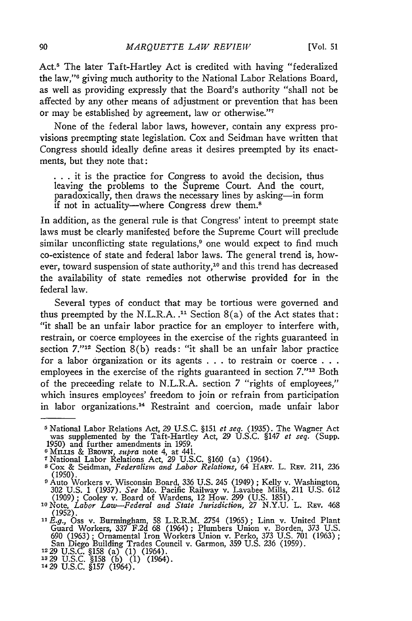Act.5 The later Taft-Hartley Act is credited with having "federalized the law,"<sup>6</sup> giving much authority to the National Labor Relations Board, as well as providing expressly that the Board's authority "shall not be affected by any other means of adjustment or prevention that has been or may be established by agreement, law or otherwise."<sup>7</sup>

None of the federal labor laws, however, contain any express provisions preempting state legislation. Cox and Seidman have written that Congress should ideally define areas it desires preempted by its enactments, but they note that:

**.. .** it is the practice for Congress to avoid the decision, thus leaving the problems to the Supreme Court. And the court, paradoxically, then draws the necessary lines by asking-in form if not in actuality—where Congress drew them.<sup>8</sup>

In addition, as the general rule is that Congress' intent to preempt state laws must be clearly manifested before the Supreme Court will preclude similar unconflicting state regulations,<sup>9</sup> one would expect to find much co-existence of state and federal labor laws. The general trend is, however, toward suspension of state authority,<sup>10</sup> and this trend has decreased the availability of state remedies not otherwise provided for in the federal law.

Several types of conduct that may be tortious were governed and thus preempted by the N.L.R.A..<sup>11</sup> Section  $8(a)$  of the Act states that: "it shall be an unfair labor practice for an employer to interfere with, restrain, or coerce employees in the exercise of the rights guaranteed in section *7.'"12* Section 8(b) reads: "it shall be an unfair labor practice for a labor organization or its agents . . . to restrain or coerce **. . .** employees in the exercise of the rights guaranteed in section  $7.^{\prime\prime}$ <sup>13</sup> Both of the preceeding relate to N.L.R.A. section 7 "rights of employees," which insures employees' freedom to join or refrain from participation in labor organizations.<sup>14</sup> Restraint and coercion, made unfair labor

**<sup>5</sup>**National Labor Relations Act, 29 U.S.C. §151 *et seq.* (1935). The Wagner Act was supplemented by the Taft-Hartley Act, 29 U.S.C. §147 *et seq.* (Supp. 1950) and further amendments in 1959.<br>
<sup>6</sup> MILLIS & BROWN, *supra* note 4, at 441.<br>
<sup>7</sup> National Labor Relations Act, 29 U.S.C. §160 (a) (1964).<br>
<sup>8</sup> Cox & Seidman, *Federalism and Labor Relations*, 64 HARV. L. REV. 211, 2

<sup>(1950).</sup> **<sup>9</sup>**Auto Workers v. Wisconsin Board, 336 U.S. 245 (1949) ; Kelly v. Washington,

<sup>302</sup> U.S. 1 (1937). *See* Mo. Pacific Railway v. Lavabee Mills, 211 U.S. 612 (1909); Cooley v. Board of Wardens, 12 How. 299 (U.S. 1851). **<sup>10</sup>**Note, *Labor Law-Federal and State Jurisdiction,* 27 N.Y.U. L. REv. 468

<sup>(1952).</sup> *SE.g.,* Oss v. Burmingham, 58 L.R.R.M. 2754 (1965); Linn v. United Plant

Guard Workers, 337 F.2d 68 (1964); Plumbers Union v. Borden, 373 U.S.<br>690 (1963); Ornamental Iron Workers Union v. Perko, 373 U.S. 701 (1963);<br>San Diego Building Trades Council v. Garmon, 359 U.S. 236 (1959).<br>12 29 U.S. 6

**<sup>1329</sup>**U.S.C. §158 (b) (1) (1964). 1429 U.S.C. §157 (1964).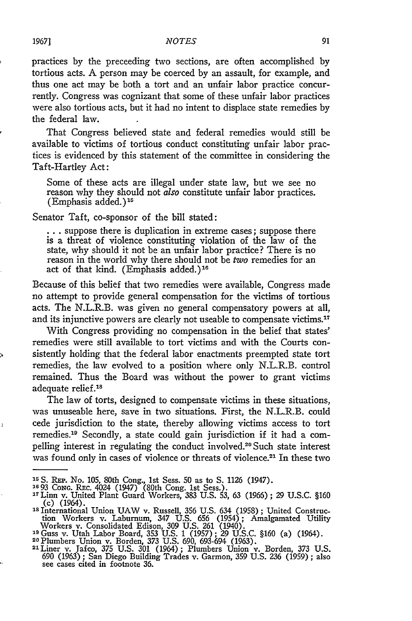practices **by** the preceeding two sections, are often accomplished by tortious acts. A person may be coerced **by** an assault, for example, and thus one act may be both a tort and an unfair labor practice concurrently. Congress was cognizant that some of these unfair labor practices were also tortious acts, but it had no intent to displace state remedies **by** the federal law.

That Congress believed state and federal remedies would still be available to victims of tortious conduct constituting unfair labor practices is evidenced **by** this statement of the committee in considering the Taft-Hartley Act:

Some of these acts are illegal under state law, but we see no reason why they should not *also* constitute unfair labor practices.  $(E$ mphasis added.)<sup>15</sup>

Senator Taft, co-sponsor of the bill stated:

**•..** suppose there is duplication in extreme cases; suppose there is a threat of violence constituting violation of the law of the state, why should it not be an unfair labor practice? There is no reason in the world why there should not be two remedies for an act of that kind. (Emphasis added.) <sup>16</sup>

Because of this belief that two remedies were available, Congress made no attempt to provide general compensation for the victims of tortious acts. The N.L.R.B. was given no general compensatory powers at all, and its injunctive powers are clearly not useable to compensate victims.<sup>17</sup>

With Congress providing no compensation in the belief that states' remedies were still available to tort victims and with the Courts consistently holding that the federal labor enactments preempted state tort remedies, the law evolved to a position where only N.L.R.B. control remained. Thus the Board was without the power to grant victims adequate relief.<sup>18</sup>

The law of torts, designed to compensate victims in these situations, was unuseable here, save in two situations. First, the N.L.R.B. could cede jurisdiction to the state, thereby allowing victims access to tort remedies.<sup>19</sup> Secondly, a state could gain jurisdiction if it had a compelling interest in regulating the conduct involved.<sup>20</sup> Such state interes was found only in cases of violence or threats of violence.<sup>21</sup> In these two

<sup>&</sup>lt;sup>15</sup> S. REP. No. 105, 80th Cong., 1st Sess. 50 as to S. 1126 (1947).<br><sup>16</sup> 93 Conc. REC. 4024 (1947) (80th Cong. 1st Sess.).<br><sup>17</sup> Linn v. United Plant Guard Workers, 383 U.S. 53, 63 (1966); 29 U.S.C. §160<br>(c) (1964).<br><sup>18</sup> I

tion Workers v. Laburnum, 347 U.S. 656 (1954); Amalgamated Utility Workers v. Consolidated Edison, 309 U.S. 261 (1940).

**<sup>&#</sup>x27;9** Guss v. Utah Labor Board, 353 U.S. 1 (1957); 29 U.S.C. §160 (a) (1964). **<sup>20</sup>**Plumbers Union v. Borden, 373 U.S. 690, 693-694 (1963). 21 Liner v. Jafco, 375 U.S. 301 (1964); Plumbers Union v. Borden, 373 U.S.

<sup>690 (1963);</sup> San Diego Building Trades v. Garmon, 359 U.S. 236 (1959) ; also see cases cited in footnote 36.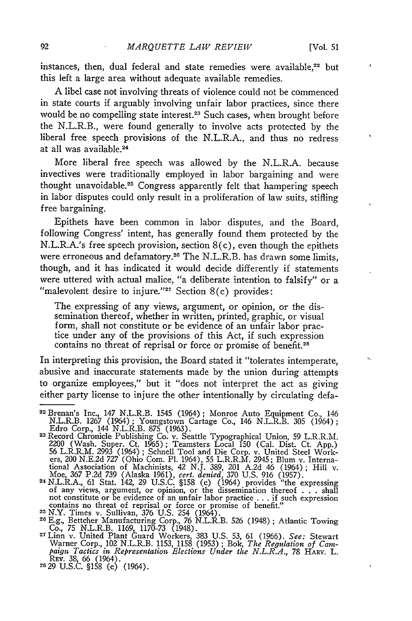instances, then, dual federal and state remedies were available,<sup>22</sup> but this left a large area without adequate available remedies.

**A** libel case not involving threats of violence could not be commenced in state courts if arguably involving unfair labor practices, since there would be no compelling state interest.<sup>23</sup> Such cases, when brought before the N.L.R.B., were found generally to involve acts protected **by** the liberal free speech provisions of the N.L.R.A., and thus no redress at all was available.<sup>24</sup>

More liberal free speech was allowed **by** the N.L.R.A. because invectives were traditionally employed in labor bargaining and were thought unavoidable.<sup>25</sup> Congress apparently felt that hampering speech in labor disputes could only result in a proliferation of law suits, stifling free bargaining.

Epithets have been common in labor disputes, and the Board, following Congress' intent, has generally found them protected **by** the N.L.R.A.'s free speech provision, section 8(c), even though the epithets were erroneous and defamatory.26 The N.L.R.B. has drawn some limits, though, and it has indicated it would decide differently if statements were uttered with actual malice, "a deliberate intention to falsify" or a "malevolent desire to injure."<sup>27</sup> Section  $8(c)$  provides:

The expressing of any views, argument, or opinion, or the dissemination thereof, whether in written, printed, graphic, or visual form, shall not constitute or be evidence of an unfair labor practice under any of the provisions of this Act, if such expression contains no threat of reprisal or force or promise of benefit.<sup>28</sup>

In interpreting this provision, the Board stated it "tolerates intemperate, abusive and inaccurate statements made **by** the union during attempts to organize employees," but it "does not interpret the act as giving either party license to injure the other intentionally **by** circulating defa-

<sup>22</sup> Brenan's Inc., 147 N.L.R.B. 1545 (1964); Monroe Auto Equipment Co., 146 N.L.R.B. **1267** (1964); Youngstown Cartage Co., 146 N.L.R.B. **305** (1964); Edro Corp., 144 N.L.R.B. **875 (1963). 23Record** Chronicle Publishing Co. v. Seattle Typographical Union, **59** L.R.R.M.

<sup>2200 (</sup>Wash. Super. Ct. 1965); Teamsters Local 150 (Cal. Dist. Ct. App.)<br>56 L.R.R.M. 2993 (1964); Schnell Tool and Die Corp. v. United Steel Work-<br>ers, 200 N.E.2d 727 (Ohio Com. Pl. 1964), 55 L.R.R.M. 2945; Blum v. Interna-

not constitute or be evidence of an unfair labor practice... if such expression<br>contains no threat of reprisal or force or promise of benefit."<br>25 N.Y. Times v. Sullivan, 376 U.S. 254 (1964).<br>26 E.g., Bettcher Manufacturin

Co., **75** N.L.R.B. **1169, 1170-73** (1948). **<sup>27</sup>**Linn v. United Plant Guard Workers, **383 U.S. 53, 61 (1966).** *See:* Stewart

Warner Corp., 102 N.L.R.B. **1153, 1158 (1953) ;** Bok, *The Regulation of Cam-paign Tactics in Representation Elections Under the N.L.R.A.,* **78** HARV. L. Ray. **38, 66** (1964). **2829 U.S.C. §158** (c) (1964).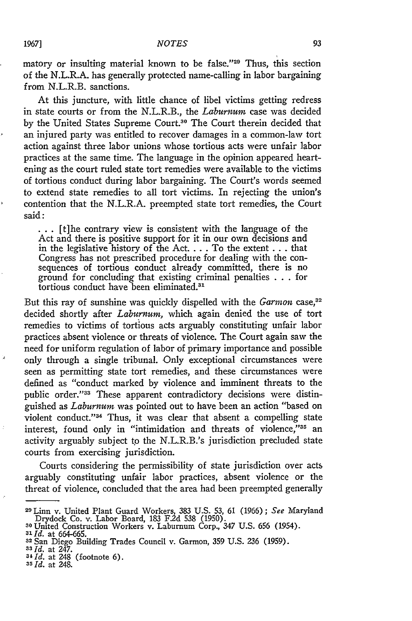matory or insulting material known to be false."<sup>29</sup> Thus, this section of the N.L.R.A. has generally protected name-calling in labor bargaining from N.L.R.B. sanctions.

At this juncture, with little chance of libel victims getting redress in state courts or from the N.L.R.B., the *Laburnum* case was decided by the United States Supreme Court.<sup>30</sup> The Court therein decided that an injured party was entitled to recover damages in a common-law tort action against three labor unions whose tortious acts were unfair labor practices at the same time. The language in the opinion appeared heartening as the court ruled state tort remedies were available to the victims of tortious conduct during labor bargaining. The Court's words seemed to extend state remedies to all tort victims. In rejecting the union's contention that the N.L.R.A. preempted state tort remedies, the Court said:

 $\ldots$  [t]he contrary view is consistent with the language of the Act and there is positive support for it in our own decisions and in the legislative history of the Act **....** To the extent **. . .** that Congress has not prescribed procedure for dealing with the consequences of tortious conduct already committed, there is no ground for concluding that existing criminal penalties . . . for ground for concluding that existing or

But this ray of sunshine was quickly dispelled with the Garmon case,<sup>32</sup> decided shortly after *Laburnum,* which again denied the use of tort remedies to victims of tortious acts arguably constituting unfair labor practices absent violence or threats of violence. The Court again saw the need for uniform regulation of labor of primary importance and possible only through a single tribunal. Only exceptional circumstances were seen as permitting state tort remedies, and these circumstances were defined as "conduct marked by violence and imminent threats to the public order."<sup>33</sup> These apparent contradictory decisions were distinguished as *Laburnum* was pointed out to have been an action "based on violent conduct."<sup>34</sup> Thus, it was clear that absent a compelling state interest, found only in "intimidation and threats of violence,"35 an activity arguably subject **t'o** the N.L.R.B.'s jurisdiction precluded state courts from exercising jurisdiction.

Courts considering the permissibility of state jurisdiction over acts arguably constituting unfair labor practices, absent violence or the threat of violence, concluded that the area had been preempted generally

- <sup>33</sup> *Id.* at 247.<br><sup>33</sup> *Id.* at 247.<br><sup>34</sup> *Id.* at 248 (footnote 6).
- **<sup>35</sup>d.** at 248.

<sup>&</sup>lt;sup>29</sup> Linn v. United Plant Guard Workers, 383 U.S. 53, 61 (1966); *See* Maryland<br>Drydock Co. v. Labor Board, 183 F.2d 538 (1950).<br><sup>30</sup> United Construction Workers v. Laburnum Corp., 347 U.S. 656 (1954).

**<sup>3&#</sup>x27;** *Id.* at 664-665.

**<sup>32</sup>**San Diego Building Trades Council v. Garmon, 359 U.S. 236 (1959).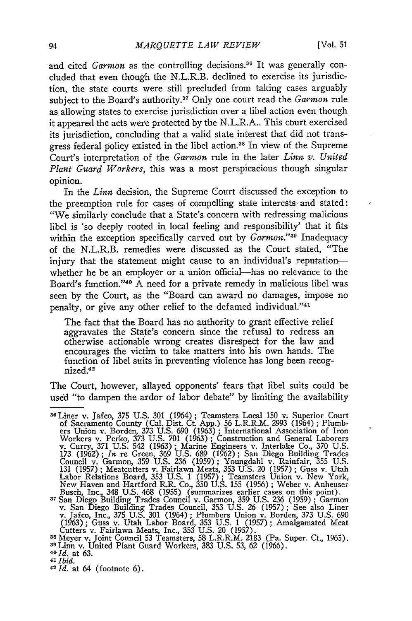and cited *Garmon* as the controlling decisions.<sup>36</sup> It was generally concluded that even though the N.L.R.B. declined to exercise its jurisdiction, the state courts were still precluded from taking cases arguably subject to the Board's authority.<sup>37</sup> Only one court read the *Garmon* rule as allowing states to exercise jurisdiction over a libel action even though it appeared the acts were protected by the N.L.R.A.. This court exercised its jurisdiction, concluding that a valid state interest that did not transgress federal policy existed in the libel action.38 In view of the Supreme Court's interpretation of the *Garmon* rule in the later *Linn v. United Plant Guard Workers,* this was a most perspicacious though singular opinion.

In the *Linn* decision, the Supreme Court discussed the exception to the preemption rule for cases of compelling state interests-and stated: "We similarly conclude that a State's concern with redressing malicious libel is 'so deeply rooted in local feeling and responsibility' that it fits within the exception specifically carved out by *Garmon."39* Inadequacy of the N.L.R.B. remedies were discussed as the Court stated, "The injury that the statement might cause to an individual's reputationwhether he be an employer or a union official-has no relevance to the Board's function."<sup>40</sup> A need for a private remedy in malicious libel was seen by the Court, as the "Board can award no damages, impose no penalty, or give any other relief to the defamed individual."41

The fact that the Board has no authority to grant effective relief aggravates the State's concern since the refusal to redress an otherwise actionable wrong creates disrespect for the law and encourages the victim to take matters into his own hands. The function of libel suits in preventing violence has long been recognized.<sup>42</sup>

The Court, however, allayed opponents' fears that libel suits could be used "to dampen the ardor of labor debate" by limiting the availability

Busch, Inc., 348 U.S. 468 (1955) (summarizes earlier cases on this point).<br><sup>37</sup> San Diego Building Trades Council v. Garmon, 359 U.S. 236 (1959); Garmon<br>v. San Diego Building Trades Council, 353 U.S. 26 (1957); See also Li

Cutters v. Fairlawn Meats, Inc., 353 U.S. 20 (1957).<br><sup>38</sup> Meyer v. Joint Council 53 Teamsters, 58 L.R.R.M. 2183 (Pa. Super. Ct., 1965)<br><sup>39</sup> Linn v. United Plant Guard Workers, 383 U.S. 53, 62 (1966).<br><sup>40 Id.</sup> at 63

- *41 Ibid.*
- 
- *<sup>42</sup>Id.* at 64 (footnote 6).

<sup>&</sup>lt;sup>36</sup> Liner v. Jafco, 375 U.S. 301 (1964): Teamsters Local 150 v. Superior Court of Sacramento County (Cal. Dist. Ct. App.) 56 L.R.R.M. 2993 (1964) ; Plumb- ers Union v. Borden, 373 U.S. 690 (1963) ; International Association of Iron Workers v. Perko, 373 U.S. 701 (1963); Construction and General Laborers<br>v. Curry, 371 U.S. 542 (1963); Marine Engineers v. Interlake Co., 370 U.S<br>173 (1962); *In* re Green, 369 U.S. 689 (1962); San Diego Building Trades<br>C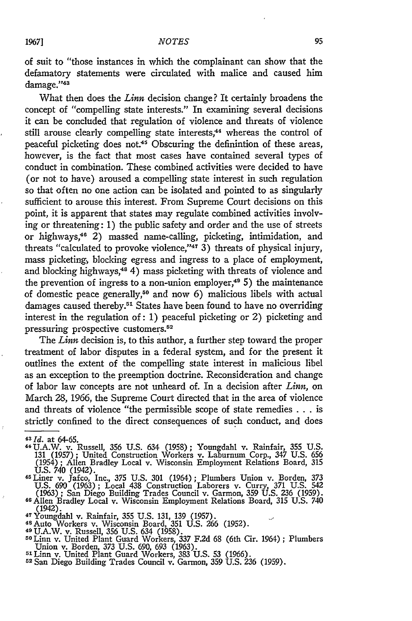of suit to "those instances in which the complainant can show that the defamatory statements were circulated with malice and caused him damage."43

What then does the *Linn* decision change? It certainly broadens the concept of "compelling state interests." In examining several decisions it can be concluded that regulation of violence and threats of violence still arouse clearly compelling state interests,<sup>44</sup> whereas the control of peaceful picketing does not.<sup>45</sup> Obscuring the definintion of these areas, however, is the fact that most cases have contained several types of conduct in combination. These combined activities were decided to have (or not to have) aroused a compelling state interest in such regulation so that often no one action can be isolated and pointed to as singularly sufficient to arouse this interest. From Supreme Court decisions on this point, it is apparent that states may regulate combined activities involving or threatening: 1) the public safety and order and the use of streets or highways,<sup>46</sup> 2) massed name-calling, picketing, intimidation, and threats "calculated to provoke violence,"47 3) threats of physical injury, mass picketing, blocking egress and ingress to a place of employment, and blocking highways,<sup>48</sup> 4) mass picketing with threats of violence and the prevention of ingress to a non-union employer, $49\,5$ ) the maintenance of domestic peace generally,50 and now 6) malicious libels with actual damages caused thereby.<sup>51</sup> States have been found to have no overriding interest in the regulation of: 1) peaceful picketing or 2) picketing and pressuring prospective customers.<sup>52</sup>

The *Linn* decision is, to this author, a further step toward the proper treatment of labor disputes in a federal system, and for the present it outlines the extent of the compelling state interest in malicious libel as an exception to the preemption doctrine. Reconsideration and change of labor law concepts are not unheard of. In a decision after *Linn,* on March 28, 1966, the Supreme Court directed that in the area of violence and threats of violence "the permissible scope of state remedies . . . is strictly confined to the direct consequences of such conduct, and does

- 41U.A.W. v. Russell, 356 **U.S.** 634 (1958); Youngdahl v. Rainfair, **355 U.S.** 131 (1957); United Construction Workers v. Laburnum Corp., 347 U.S. **656** (1954); Allen Bradley Local v. Wisconsin Employment Relations Board, **315** U.S. 740 (1942).<br><sup>45</sup> Liner v. Jafco, Inc., 375 U.S. 301 (1964); Plumbers Union v. Borden, 373
- U.S. 690 (1963); Local 438 Construction Laborers v. Curry, 371 **U.S.** 542 (1963); San Diego Building Trades Council v. Garmon, 359 **U.S.** 236 (1959). 46Allen Bradley Local v. Wisconsin Employment Relations Board, 315 **U.S.** 740
- (1942). <sup>4</sup>Youngdahl v. Rainfair, 355 U.S. 131, 139 (1957).
- 
- 
- 48 Auto Workers v. Wisconsin Board, 351 U.S. 266 (1952).<br><sup>49</sup> U.A.W. v. Russell, 356 U.S. 634 (1958).<br><sup>50</sup> Linn v. United Plant Guard Workers, 337 F.2d 68 (6th Cir. 1964) ; Plumbers Union v. Borden, 373 U.S. 690, 693 (1963). **<sup>5</sup> <sup>1</sup>**Linn v. United Plant Guard Workers, 383 U.S. 53 (1966).
- 
- **52San** Diego Building Trades Council v. Garmon, 359 U.S. 236 (1959).

 $43$  *Id.* at 64-65.